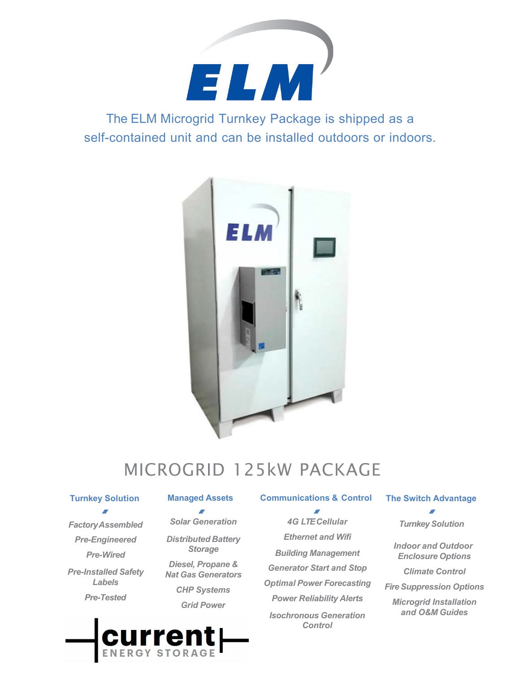

The ELM Microgrid Turnkey Package is shipped as a self-contained unit and can be installed outdoors or indoors.



# MICROGRID 125kW PACKAGE

### **Turnkey Solution**

*FactoryAssembled Pre-Engineered Pre-Wired Pre-Installed Safety Labels Pre-Tested*

 $\overline{\phantom{a}}$ *Solar Generation Distributed Battery Storage*

*Diesel, Propane & Nat Gas Generators CHP Systems Grid Power*

**Managed Assets Communications & Control**  $\overline{a}$ 

> *4G LTE Cellular Ethernet and Wifi Building Management Generator Start and Stop Optimal Power Forecasting Power Reliability Alerts Isochronous Generation Control*

### **The Switch Advantage**

*Turnkey Solution*

*Indoor and Outdoor Enclosure Options*

*Climate Control*

*Fire Suppression Options*

*Microgrid Installation and O&M Guides*